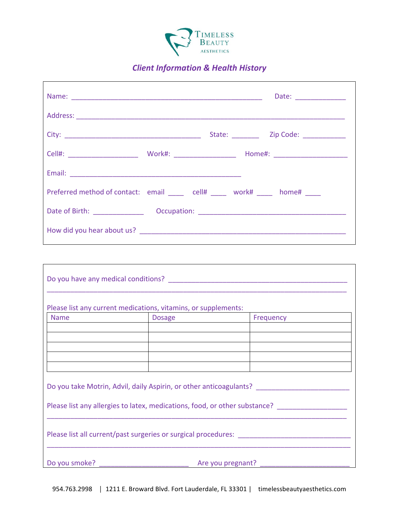

## *Client Information & Health History*

|                                                                                |  | Date: _______________   |
|--------------------------------------------------------------------------------|--|-------------------------|
|                                                                                |  |                         |
|                                                                                |  | State: <u>Zip Code:</u> |
|                                                                                |  |                         |
|                                                                                |  |                         |
| Preferred method of contact: email ______ cell# ______ work# _____ home# _____ |  |                         |
|                                                                                |  |                         |
|                                                                                |  |                         |

Г

| Please list any current medications, vitamins, or supplements: |               |                                                                            |  |
|----------------------------------------------------------------|---------------|----------------------------------------------------------------------------|--|
| <b>Name</b>                                                    | <b>Dosage</b> | Frequency                                                                  |  |
|                                                                |               |                                                                            |  |
|                                                                |               |                                                                            |  |
|                                                                |               |                                                                            |  |
|                                                                |               |                                                                            |  |
|                                                                |               |                                                                            |  |
|                                                                |               | Do you take Motrin, Advil, daily Aspirin, or other anticoagulants?         |  |
|                                                                |               | Please list any allergies to latex, medications, food, or other substance? |  |
|                                                                |               | Please list all current/past surgeries or surgical procedures:             |  |
| Do you smoke?                                                  |               | Are you pregnant?                                                          |  |

٦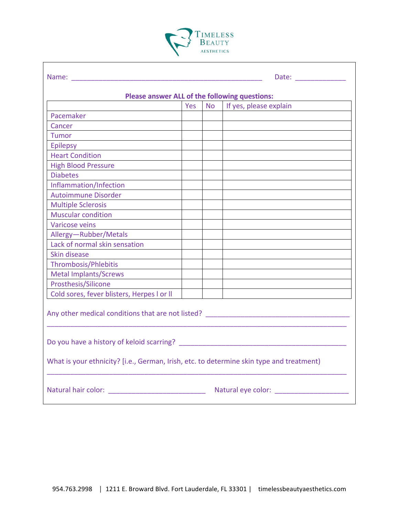

 $\Gamma$ 

| Please answer ALL of the following questions:                                            |     |      |                        |  |  |  |
|------------------------------------------------------------------------------------------|-----|------|------------------------|--|--|--|
|                                                                                          | Yes | No l | If yes, please explain |  |  |  |
| Pacemaker                                                                                |     |      |                        |  |  |  |
| Cancer                                                                                   |     |      |                        |  |  |  |
| Tumor                                                                                    |     |      |                        |  |  |  |
| Epilepsy                                                                                 |     |      |                        |  |  |  |
| <b>Heart Condition</b>                                                                   |     |      |                        |  |  |  |
| <b>High Blood Pressure</b>                                                               |     |      |                        |  |  |  |
| <b>Diabetes</b>                                                                          |     |      |                        |  |  |  |
| Inflammation/Infection                                                                   |     |      |                        |  |  |  |
| <b>Autoimmune Disorder</b>                                                               |     |      |                        |  |  |  |
| <b>Multiple Sclerosis</b>                                                                |     |      |                        |  |  |  |
| <b>Muscular condition</b>                                                                |     |      |                        |  |  |  |
| Varicose veins                                                                           |     |      |                        |  |  |  |
| Allergy-Rubber/Metals                                                                    |     |      |                        |  |  |  |
| Lack of normal skin sensation                                                            |     |      |                        |  |  |  |
| Skin disease                                                                             |     |      |                        |  |  |  |
| Thrombosis/Phlebitis                                                                     |     |      |                        |  |  |  |
| <b>Metal Implants/Screws</b>                                                             |     |      |                        |  |  |  |
| Prosthesis/Silicone                                                                      |     |      |                        |  |  |  |
| Cold sores, fever blisters, Herpes I or II                                               |     |      |                        |  |  |  |
| Any other medical conditions that are not listed? _______________________________        |     |      |                        |  |  |  |
|                                                                                          |     |      |                        |  |  |  |
| What is your ethnicity? [i.e., German, Irish, etc. to determine skin type and treatment) |     |      |                        |  |  |  |
|                                                                                          |     |      |                        |  |  |  |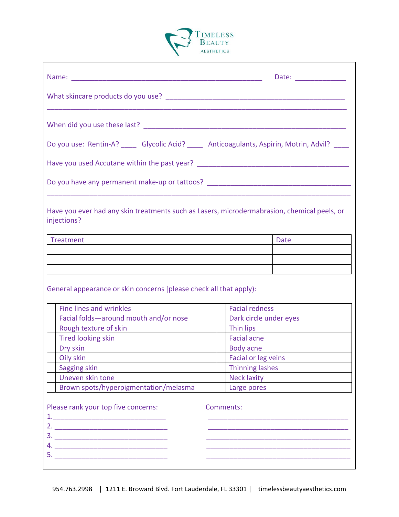

| Do you use: Rentin-A? _____ Glycolic Acid? _____ Anticoagulants, Aspirin, Motrin, Advil? ____                   |                        |
|-----------------------------------------------------------------------------------------------------------------|------------------------|
| Have you used Accutane within the past year? ___________________________________                                |                        |
| Do you have any permanent make-up or tattoos? __________________________________                                |                        |
| Have you ever had any skin treatments such as Lasers, microdermabrasion, chemical peels, or<br>injections?      |                        |
| <b>Treatment</b>                                                                                                | Date                   |
|                                                                                                                 |                        |
|                                                                                                                 |                        |
| General appearance or skin concerns [please check all that apply):                                              |                        |
| <b>Fine lines and wrinkles</b>                                                                                  | <b>Facial redness</b>  |
| Facial folds-around mouth and/or nose                                                                           | Dark circle under eyes |
| Rough texture of skin                                                                                           | Thin lips              |
| Tired looking skin<br>the control of the control of the control of the control of the control of the control of | Facial acne            |
| Dry skin                                                                                                        | Body acne              |
| Oily skin                                                                                                       | Facial or leg veins    |
| Sagging skin                                                                                                    | <b>Thinning lashes</b> |
| Uneven skin tone                                                                                                | <b>Neck laxity</b>     |
| Brown spots/hyperpigmentation/melasma                                                                           | Large pores            |
| Please rank your top five concerns:                                                                             | Comments:              |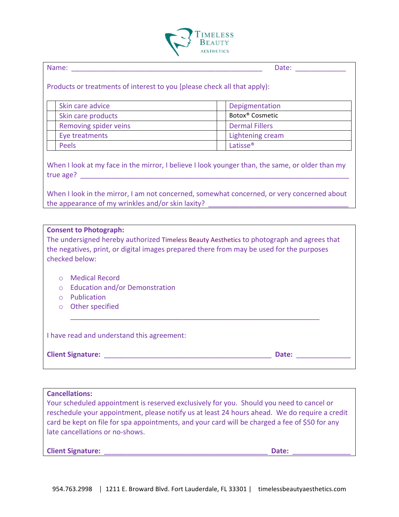

| . . |  |
|-----|--|

Name: \_\_\_\_\_\_\_\_\_\_\_\_\_\_\_\_\_\_\_\_\_\_\_\_\_\_\_\_\_\_\_\_\_\_\_\_\_\_\_\_\_\_\_\_\_\_\_\_\_ Date: \_\_\_\_\_\_\_\_\_\_\_\_\_

Products or treatments of interest to you [please check all that apply):

| Skin care advice      | Depigmentation              |
|-----------------------|-----------------------------|
| Skin care products    | Botox <sup>®</sup> Cosmetic |
| Removing spider veins | <b>Dermal Fillers</b>       |
| Eye treatments        | Lightening cream            |
| Peels                 | Latisse <sup>®</sup>        |

When I look at my face in the mirror, I believe I look younger than, the same, or older than my true age? **All and the set of the set of the set of the set of the set of the set of the set of the set of the set of the set of the set of the set of the set of the set of the set of the set of the set of the set of the s** 

When I look in the mirror, I am not concerned, somewhat concerned, or very concerned about the appearance of my wrinkles and/or skin laxity?

|                                                   | <b>Consent to Photograph:</b><br>The undersigned hereby authorized Timeless Beauty Aesthetics to photograph and agrees that<br>the negatives, print, or digital images prepared there from may be used for the purposes<br>checked below: |       |
|---------------------------------------------------|-------------------------------------------------------------------------------------------------------------------------------------------------------------------------------------------------------------------------------------------|-------|
| $\bigcirc$<br>$\bigcirc$<br>$\bigcirc$<br>$\circ$ | Medical Record<br><b>Education and/or Demonstration</b><br>Publication<br>Other specified                                                                                                                                                 |       |
|                                                   | I have read and understand this agreement:                                                                                                                                                                                                |       |
|                                                   | <b>Client Signature:</b>                                                                                                                                                                                                                  | Date: |

**Cancellations:**

Your scheduled appointment is reserved exclusively for you. Should you need to cancel or reschedule your appointment, please notify us at least 24 hours ahead. We do require a credit card be kept on file for spa appointments, and your card will be charged a fee of \$50 for any late cancellations or no-shows.

| <b>Client Signature:</b> | Date: |  |
|--------------------------|-------|--|
|                          |       |  |